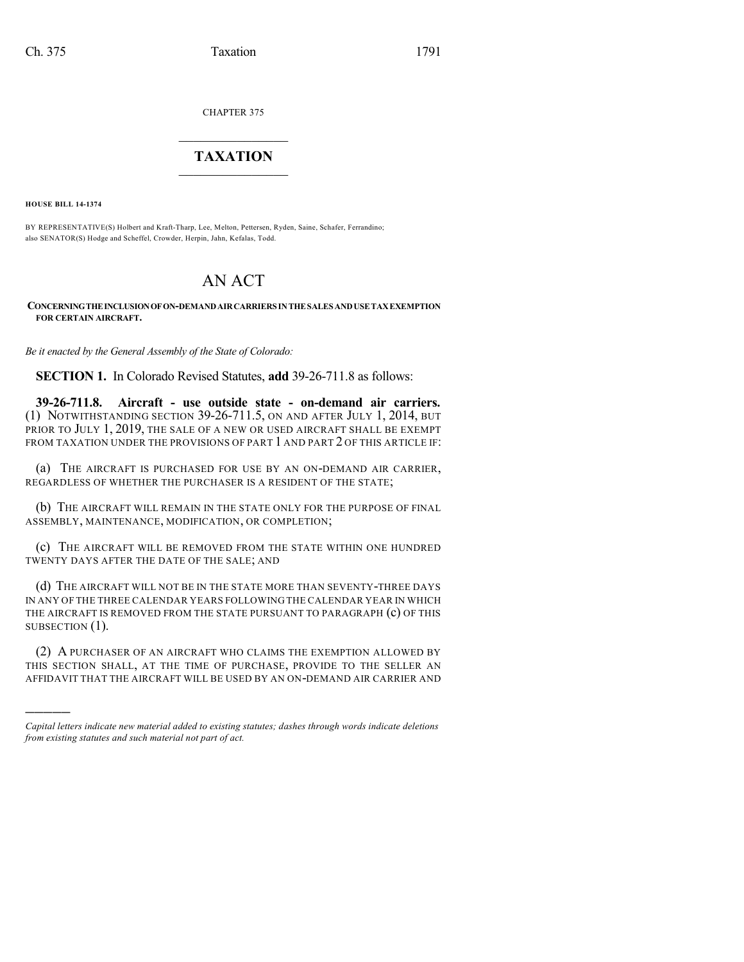CHAPTER 375

## $\overline{\phantom{a}}$  . The set of the set of the set of the set of the set of the set of the set of the set of the set of the set of the set of the set of the set of the set of the set of the set of the set of the set of the set o **TAXATION**  $\_$

**HOUSE BILL 14-1374**

)))))

BY REPRESENTATIVE(S) Holbert and Kraft-Tharp, Lee, Melton, Pettersen, Ryden, Saine, Schafer, Ferrandino; also SENATOR(S) Hodge and Scheffel, Crowder, Herpin, Jahn, Kefalas, Todd.

## AN ACT

## **CONCERNINGTHEINCLUSIONOFON-DEMANDAIRCARRIERS INTHESALES ANDUSETAXEXEMPTION FOR CERTAIN AIRCRAFT.**

*Be it enacted by the General Assembly of the State of Colorado:*

**SECTION 1.** In Colorado Revised Statutes, **add** 39-26-711.8 as follows:

**39-26-711.8. Aircraft - use outside state - on-demand air carriers.** (1) NOTWITHSTANDING SECTION 39-26-711.5, ON AND AFTER JULY 1, 2014, BUT PRIOR TO JULY 1, 2019, THE SALE OF A NEW OR USED AIRCRAFT SHALL BE EXEMPT FROM TAXATION UNDER THE PROVISIONS OF PART 1 AND PART 2 OF THIS ARTICLE IF:

(a) THE AIRCRAFT IS PURCHASED FOR USE BY AN ON-DEMAND AIR CARRIER, REGARDLESS OF WHETHER THE PURCHASER IS A RESIDENT OF THE STATE;

(b) THE AIRCRAFT WILL REMAIN IN THE STATE ONLY FOR THE PURPOSE OF FINAL ASSEMBLY, MAINTENANCE, MODIFICATION, OR COMPLETION;

(c) THE AIRCRAFT WILL BE REMOVED FROM THE STATE WITHIN ONE HUNDRED TWENTY DAYS AFTER THE DATE OF THE SALE; AND

(d) THE AIRCRAFT WILL NOT BE IN THE STATE MORE THAN SEVENTY-THREE DAYS IN ANY OF THE THREE CALENDAR YEARS FOLLOWING THE CALENDAR YEAR IN WHICH THE AIRCRAFT IS REMOVED FROM THE STATE PURSUANT TO PARAGRAPH (c) OF THIS SUBSECTION  $(1)$ .

(2) A PURCHASER OF AN AIRCRAFT WHO CLAIMS THE EXEMPTION ALLOWED BY THIS SECTION SHALL, AT THE TIME OF PURCHASE, PROVIDE TO THE SELLER AN AFFIDAVIT THAT THE AIRCRAFT WILL BE USED BY AN ON-DEMAND AIR CARRIER AND

*Capital letters indicate new material added to existing statutes; dashes through words indicate deletions from existing statutes and such material not part of act.*